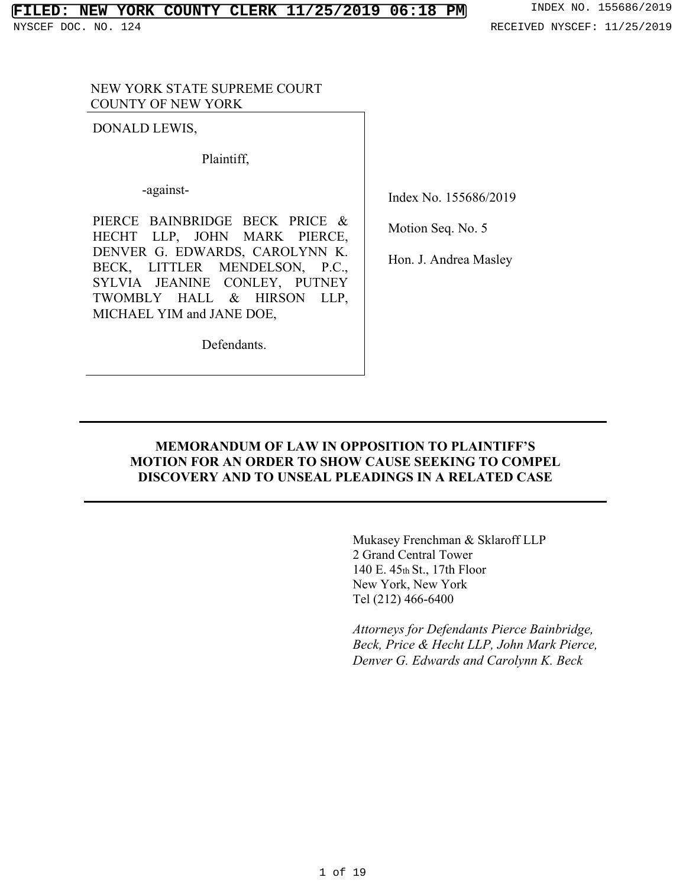### NEW YORK STATE SUPREME COURT COUNTY OF NEW YORK

DONALD LEWIS,

Plaintiff,

-against-

PIERCE BAINBRIDGE BECK PRICE & HECHT LLP, JOHN MARK PIERCE, DENVER G. EDWARDS, CAROLYNN K. BECK, LITTLER MENDELSON, P.C., SYLVIA JEANINE CONLEY, PUTNEY TWOMBLY HALL & HIRSON LLP, MICHAEL YIM and JANE DOE,

Defendants.

Index No. 155686/2019

Motion Seq. No. 5

Hon. J. Andrea Masley

## **MEMORANDUM OF LAW IN OPPOSITION TO PLAINTIFF'S MOTION FOR AN ORDER TO SHOW CAUSE SEEKING TO COMPEL DISCOVERY AND TO UNSEAL PLEADINGS IN A RELATED CASE**

Mukasey Frenchman & Sklaroff LLP 2 Grand Central Tower 140 E. 45th St., 17th Floor New York, New York Tel (212) 466-6400

*Attorneys for Defendants Pierce Bainbridge, Beck, Price & Hecht LLP, John Mark Pierce, Denver G. Edwards and Carolynn K. Beck*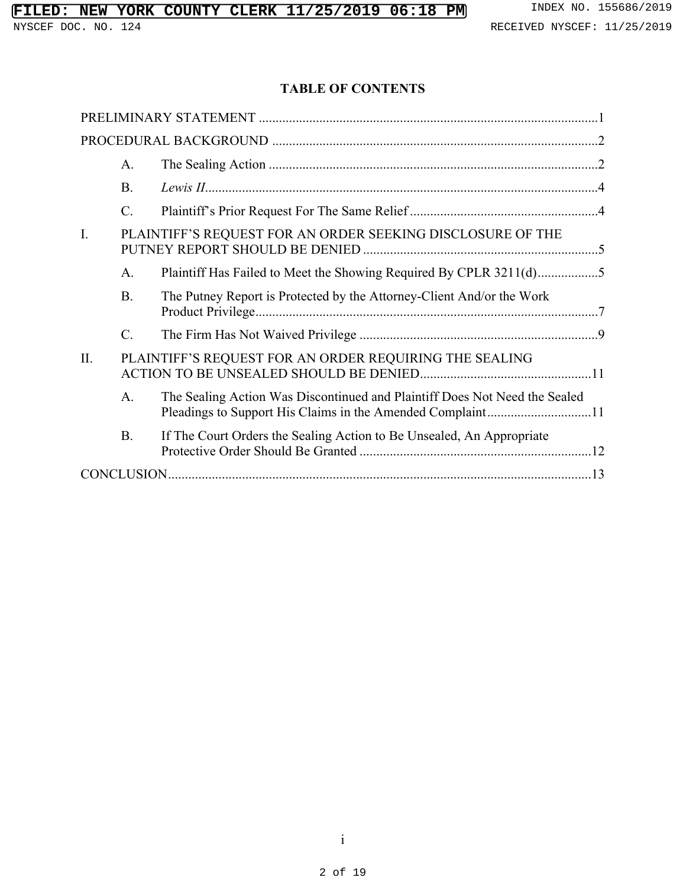# **TABLE OF CONTENTS**

|     | A.                                                     |                                                                            |  |  |
|-----|--------------------------------------------------------|----------------------------------------------------------------------------|--|--|
|     | <b>B.</b>                                              |                                                                            |  |  |
|     | C.                                                     |                                                                            |  |  |
| I.  |                                                        | PLAINTIFF'S REQUEST FOR AN ORDER SEEKING DISCLOSURE OF THE                 |  |  |
|     | A.                                                     | Plaintiff Has Failed to Meet the Showing Required By CPLR 3211(d)5         |  |  |
|     | <b>B.</b>                                              | The Putney Report is Protected by the Attorney-Client And/or the Work      |  |  |
|     | $\mathcal{C}$ .                                        |                                                                            |  |  |
| II. | PLAINTIFF'S REQUEST FOR AN ORDER REQUIRING THE SEALING |                                                                            |  |  |
|     | A <sub>1</sub>                                         | The Sealing Action Was Discontinued and Plaintiff Does Not Need the Sealed |  |  |
|     | <b>B.</b>                                              | If The Court Orders the Sealing Action to Be Unsealed, An Appropriate      |  |  |
|     |                                                        |                                                                            |  |  |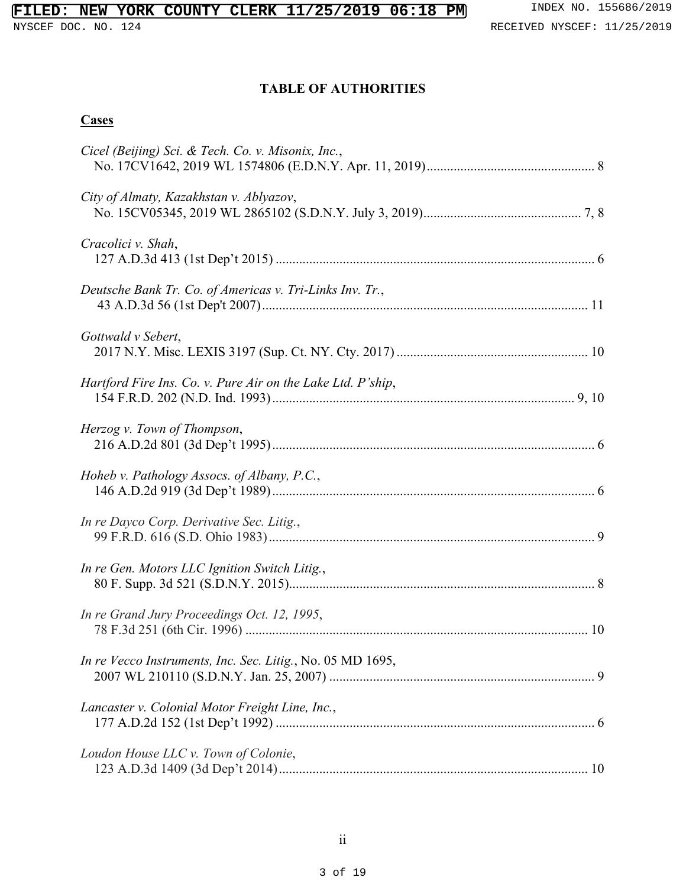# **TABLE OF AUTHORITIES**

## **Cases**

| Cicel (Beijing) Sci. & Tech. Co. v. Misonix, Inc.,          |
|-------------------------------------------------------------|
| City of Almaty, Kazakhstan v. Ablyazov,                     |
| Cracolici v. Shah,                                          |
| Deutsche Bank Tr. Co. of Americas v. Tri-Links Inv. Tr.,    |
| Gottwald v Sebert,                                          |
| Hartford Fire Ins. Co. v. Pure Air on the Lake Ltd. P'ship, |
| Herzog v. Town of Thompson,                                 |
| Hoheb v. Pathology Assocs. of Albany, P.C.,                 |
| In re Dayco Corp. Derivative Sec. Litig.,                   |
| In re Gen. Motors LLC Ignition Switch Litig.,               |
| In re Grand Jury Proceedings Oct. 12, 1995,                 |
| In re Vecco Instruments, Inc. Sec. Litig., No. 05 MD 1695,  |
| Lancaster v. Colonial Motor Freight Line, Inc.,             |
| Loudon House LLC v. Town of Colonie,                        |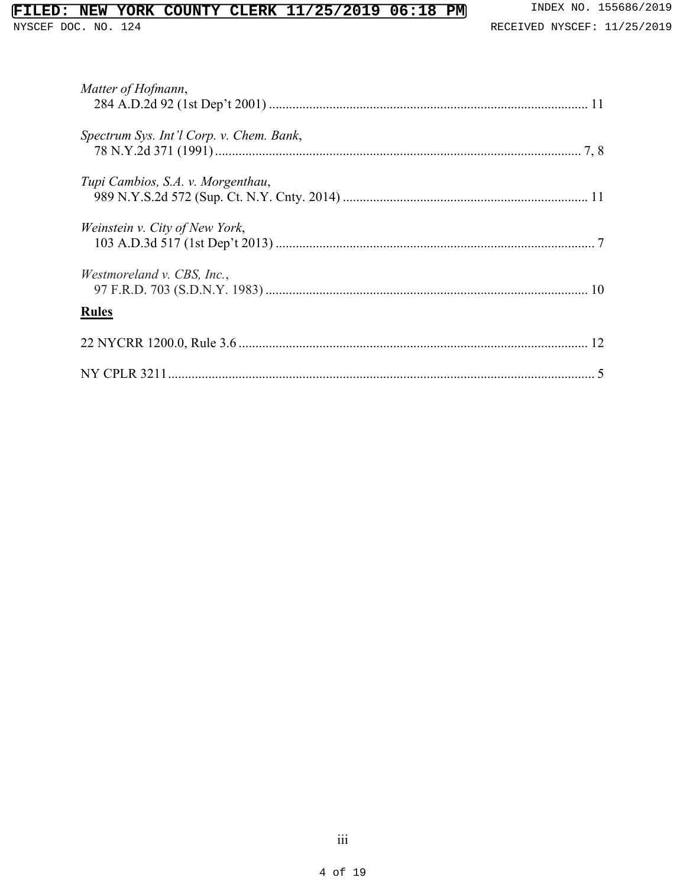# **FILED: NEW YORK COUNTY CLERK 11/25/2019 06:18 PM** INDEX NO. 155686/2019<br>NYSCEF DOC. NO. 124<br>RECEIVED NYSCEF: 11/25/2019

| Matter of Hofmann,                       |  |
|------------------------------------------|--|
| Spectrum Sys. Int'l Corp. v. Chem. Bank, |  |
| Tupi Cambios, S.A. v. Morgenthau,        |  |
| Weinstein v. City of New York,           |  |
| <i>Westmoreland v. CBS, Inc.,</i>        |  |
| <b>Rules</b>                             |  |
|                                          |  |
|                                          |  |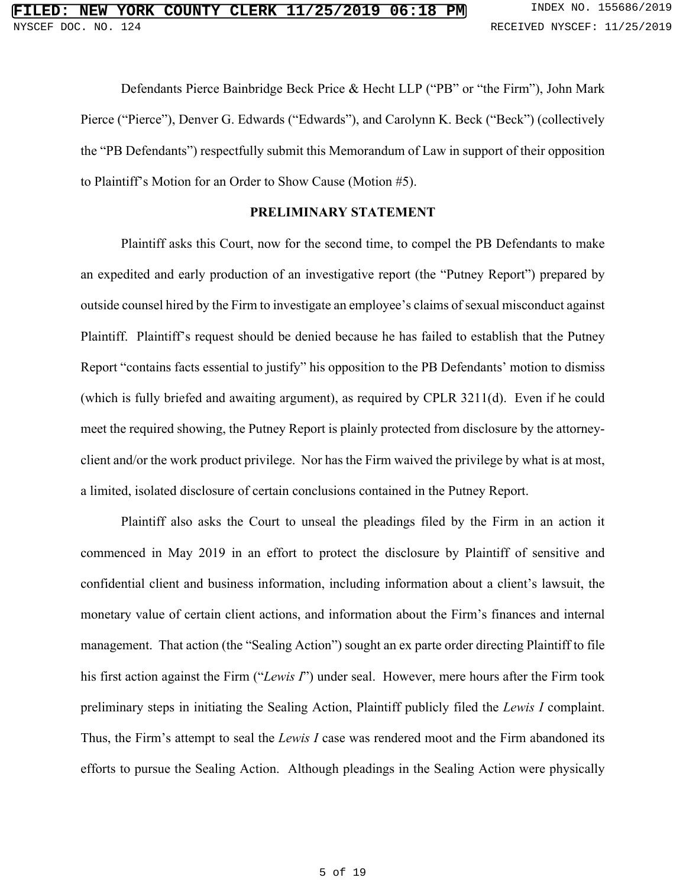Defendants Pierce Bainbridge Beck Price & Hecht LLP ("PB" or "the Firm"), John Mark Pierce ("Pierce"), Denver G. Edwards ("Edwards"), and Carolynn K. Beck ("Beck") (collectively the "PB Defendants") respectfully submit this Memorandum of Law in support of their opposition to Plaintiff's Motion for an Order to Show Cause (Motion #5).

#### **PRELIMINARY STATEMENT**

Plaintiff asks this Court, now for the second time, to compel the PB Defendants to make an expedited and early production of an investigative report (the "Putney Report") prepared by outside counsel hired by the Firm to investigate an employee's claims of sexual misconduct against Plaintiff. Plaintiff's request should be denied because he has failed to establish that the Putney Report "contains facts essential to justify" his opposition to the PB Defendants' motion to dismiss (which is fully briefed and awaiting argument), as required by CPLR 3211(d). Even if he could meet the required showing, the Putney Report is plainly protected from disclosure by the attorneyclient and/or the work product privilege. Nor has the Firm waived the privilege by what is at most, a limited, isolated disclosure of certain conclusions contained in the Putney Report.

Plaintiff also asks the Court to unseal the pleadings filed by the Firm in an action it commenced in May 2019 in an effort to protect the disclosure by Plaintiff of sensitive and confidential client and business information, including information about a client's lawsuit, the monetary value of certain client actions, and information about the Firm's finances and internal management. That action (the "Sealing Action") sought an ex parte order directing Plaintiff to file his first action against the Firm ("*Lewis I*") under seal. However, mere hours after the Firm took preliminary steps in initiating the Sealing Action, Plaintiff publicly filed the *Lewis I* complaint. Thus, the Firm's attempt to seal the *Lewis I* case was rendered moot and the Firm abandoned its efforts to pursue the Sealing Action. Although pleadings in the Sealing Action were physically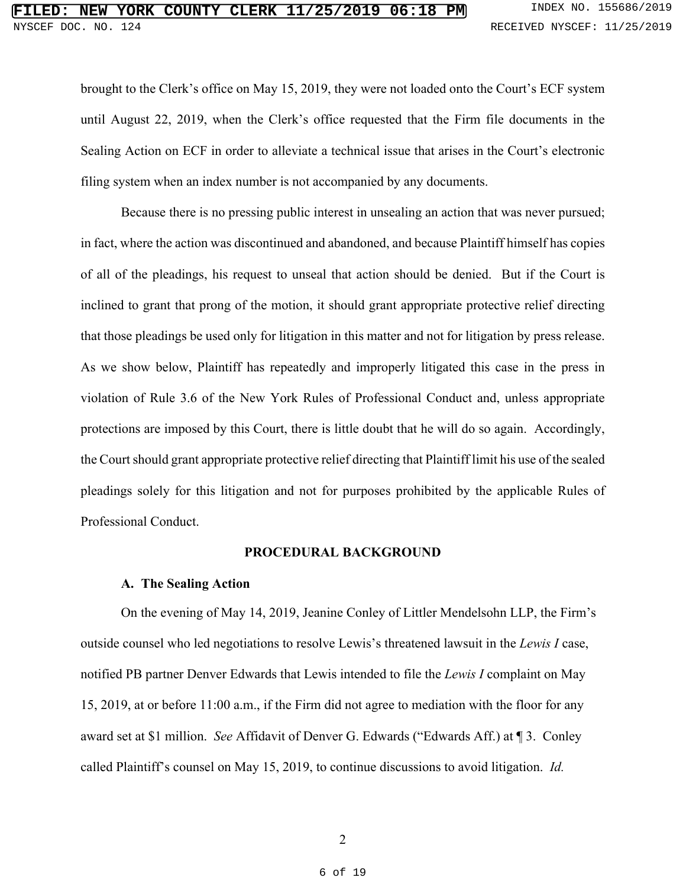brought to the Clerk's office on May 15, 2019, they were not loaded onto the Court's ECF system until August 22, 2019, when the Clerk's office requested that the Firm file documents in the Sealing Action on ECF in order to alleviate a technical issue that arises in the Court's electronic filing system when an index number is not accompanied by any documents.

Because there is no pressing public interest in unsealing an action that was never pursued; in fact, where the action was discontinued and abandoned, and because Plaintiff himself has copies of all of the pleadings, his request to unseal that action should be denied. But if the Court is inclined to grant that prong of the motion, it should grant appropriate protective relief directing that those pleadings be used only for litigation in this matter and not for litigation by press release. As we show below, Plaintiff has repeatedly and improperly litigated this case in the press in violation of Rule 3.6 of the New York Rules of Professional Conduct and, unless appropriate protections are imposed by this Court, there is little doubt that he will do so again. Accordingly, the Court should grant appropriate protective relief directing that Plaintiff limit his use of the sealed pleadings solely for this litigation and not for purposes prohibited by the applicable Rules of Professional Conduct.

#### **PROCEDURAL BACKGROUND**

#### **A. The Sealing Action**

On the evening of May 14, 2019, Jeanine Conley of Littler Mendelsohn LLP, the Firm's outside counsel who led negotiations to resolve Lewis's threatened lawsuit in the *Lewis I* case, notified PB partner Denver Edwards that Lewis intended to file the *Lewis I* complaint on May 15, 2019, at or before 11:00 a.m., if the Firm did not agree to mediation with the floor for any award set at \$1 million. *See* Affidavit of Denver G. Edwards ("Edwards Aff.) at ¶ 3. Conley called Plaintiff's counsel on May 15, 2019, to continue discussions to avoid litigation. *Id.*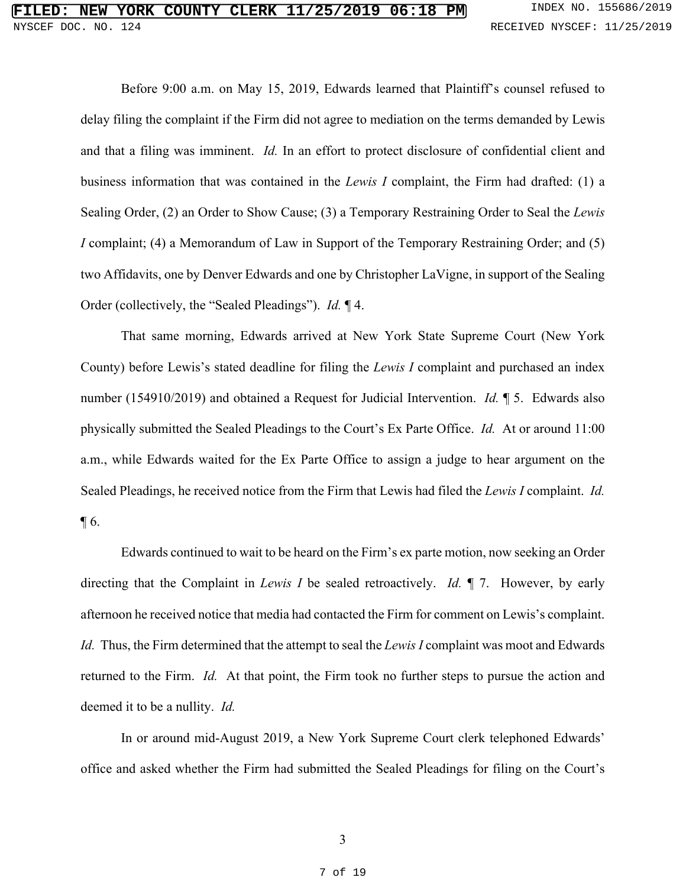Before 9:00 a.m. on May 15, 2019, Edwards learned that Plaintiff's counsel refused to delay filing the complaint if the Firm did not agree to mediation on the terms demanded by Lewis and that a filing was imminent. *Id.* In an effort to protect disclosure of confidential client and business information that was contained in the *Lewis I* complaint, the Firm had drafted: (1) a Sealing Order, (2) an Order to Show Cause; (3) a Temporary Restraining Order to Seal the *Lewis I* complaint; (4) a Memorandum of Law in Support of the Temporary Restraining Order; and (5) two Affidavits, one by Denver Edwards and one by Christopher LaVigne, in support of the Sealing Order (collectively, the "Sealed Pleadings"). *Id.* ¶ 4.

That same morning, Edwards arrived at New York State Supreme Court (New York County) before Lewis's stated deadline for filing the *Lewis I* complaint and purchased an index number (154910/2019) and obtained a Request for Judicial Intervention. *Id.* ¶ 5. Edwards also physically submitted the Sealed Pleadings to the Court's Ex Parte Office. *Id.* At or around 11:00 a.m., while Edwards waited for the Ex Parte Office to assign a judge to hear argument on the Sealed Pleadings, he received notice from the Firm that Lewis had filed the *Lewis I* complaint. *Id.*  $\P6.$ 

Edwards continued to wait to be heard on the Firm's ex parte motion, now seeking an Order directing that the Complaint in *Lewis I* be sealed retroactively. *Id.* ¶ 7. However, by early afternoon he received notice that media had contacted the Firm for comment on Lewis's complaint. *Id.* Thus, the Firm determined that the attempt to seal the *Lewis I* complaint was moot and Edwards returned to the Firm. *Id.* At that point, the Firm took no further steps to pursue the action and deemed it to be a nullity. *Id.*

In or around mid-August 2019, a New York Supreme Court clerk telephoned Edwards' office and asked whether the Firm had submitted the Sealed Pleadings for filing on the Court's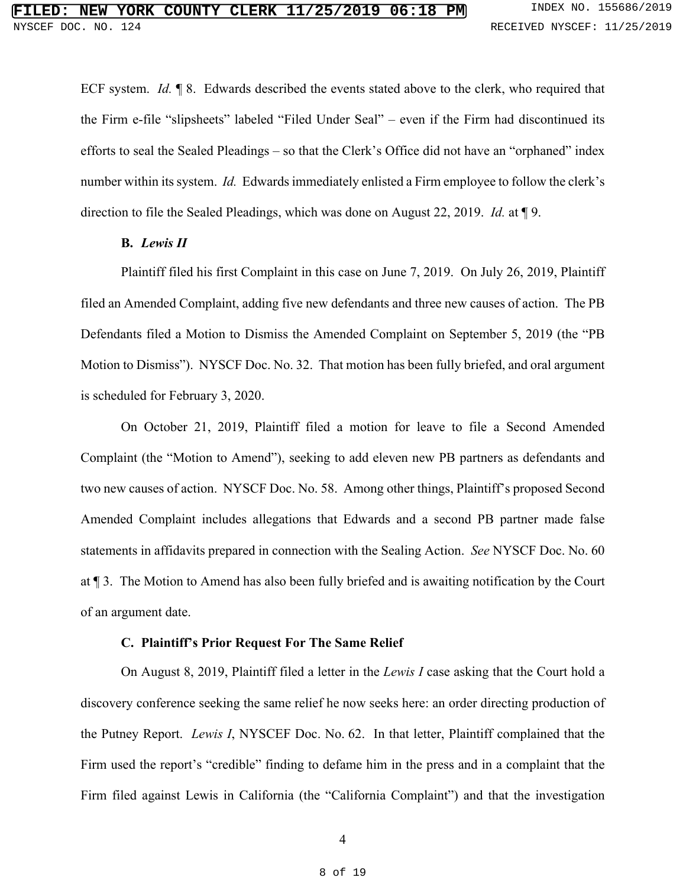ECF system. *Id.* ¶ 8. Edwards described the events stated above to the clerk, who required that the Firm e-file "slipsheets" labeled "Filed Under Seal" – even if the Firm had discontinued its efforts to seal the Sealed Pleadings – so that the Clerk's Office did not have an "orphaned" index number within its system. *Id.* Edwards immediately enlisted a Firm employee to follow the clerk's direction to file the Sealed Pleadings, which was done on August 22, 2019. *Id.* at ¶ 9.

#### **B.** *Lewis II*

Plaintiff filed his first Complaint in this case on June 7, 2019. On July 26, 2019, Plaintiff filed an Amended Complaint, adding five new defendants and three new causes of action. The PB Defendants filed a Motion to Dismiss the Amended Complaint on September 5, 2019 (the "PB Motion to Dismiss"). NYSCF Doc. No. 32. That motion has been fully briefed, and oral argument is scheduled for February 3, 2020.

On October 21, 2019, Plaintiff filed a motion for leave to file a Second Amended Complaint (the "Motion to Amend"), seeking to add eleven new PB partners as defendants and two new causes of action. NYSCF Doc. No. 58. Among other things, Plaintiff's proposed Second Amended Complaint includes allegations that Edwards and a second PB partner made false statements in affidavits prepared in connection with the Sealing Action. *See* NYSCF Doc. No. 60 at ¶ 3. The Motion to Amend has also been fully briefed and is awaiting notification by the Court of an argument date.

### **C. Plaintiff's Prior Request For The Same Relief**

On August 8, 2019, Plaintiff filed a letter in the *Lewis I* case asking that the Court hold a discovery conference seeking the same relief he now seeks here: an order directing production of the Putney Report. *Lewis I*, NYSCEF Doc. No. 62. In that letter, Plaintiff complained that the Firm used the report's "credible" finding to defame him in the press and in a complaint that the Firm filed against Lewis in California (the "California Complaint") and that the investigation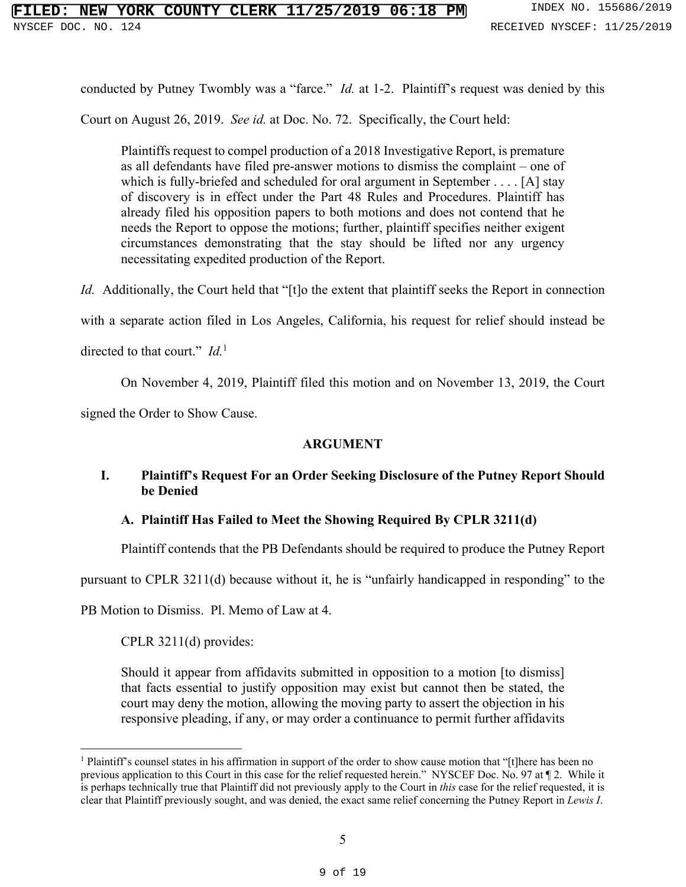conducted by Putney Twombly was a "farce." *Id.* at 1-2. Plaintiff's request was denied by this

Court on August 26, 2019. *See id.* at Doc. No. 72. Specifically, the Court held:

Plaintiffs request to compel production of a 2018 Investigative Report, is premature as all defendants have filed pre-answer motions to dismiss the complaint – one of which is fully-briefed and scheduled for oral argument in September . . . . [A] stay of discovery is in effect under the Part 48 Rules and Procedures. Plaintiff has already filed his opposition papers to both motions and does not contend that he needs the Report to oppose the motions; further, plaintiff specifies neither exigent circumstances demonstrating that the stay should be lifted nor any urgency necessitating expedited production of the Report.

*Id.* Additionally, the Court held that "[t]o the extent that plaintiff seeks the Report in connection

with a separate action filed in Los Angeles, California, his request for relief should instead be

directed to that court." *Id.*<sup>1</sup>

On November 4, 2019, Plaintiff filed this motion and on November 13, 2019, the Court

signed the Order to Show Cause.

## **ARGUMENT**

## **I. Plaintiff's Request For an Order Seeking Disclosure of the Putney Report Should be Denied**

## **A. Plaintiff Has Failed to Meet the Showing Required By CPLR 3211(d)**

Plaintiff contends that the PB Defendants should be required to produce the Putney Report

pursuant to CPLR 3211(d) because without it, he is "unfairly handicapped in responding" to the

PB Motion to Dismiss. Pl. Memo of Law at 4.

CPLR 3211(d) provides:

Should it appear from affidavits submitted in opposition to a motion [to dismiss] that facts essential to justify opposition may exist but cannot then be stated, the court may deny the motion, allowing the moving party to assert the objection in his responsive pleading, if any, or may order a continuance to permit further affidavits

<sup>&</sup>lt;sup>1</sup> Plaintiff's counsel states in his affirmation in support of the order to show cause motion that "[t]here has been no previous application to this Court in this case for the relief requested herein." NYSCEF Doc. No. 97 at ¶ 2. While it is perhaps technically true that Plaintiff did not previously apply to the Court in *this* case for the relief requested, it is clear that Plaintiff previously sought, and was denied, the exact same relief concerning the Putney Report in *Lewis I*.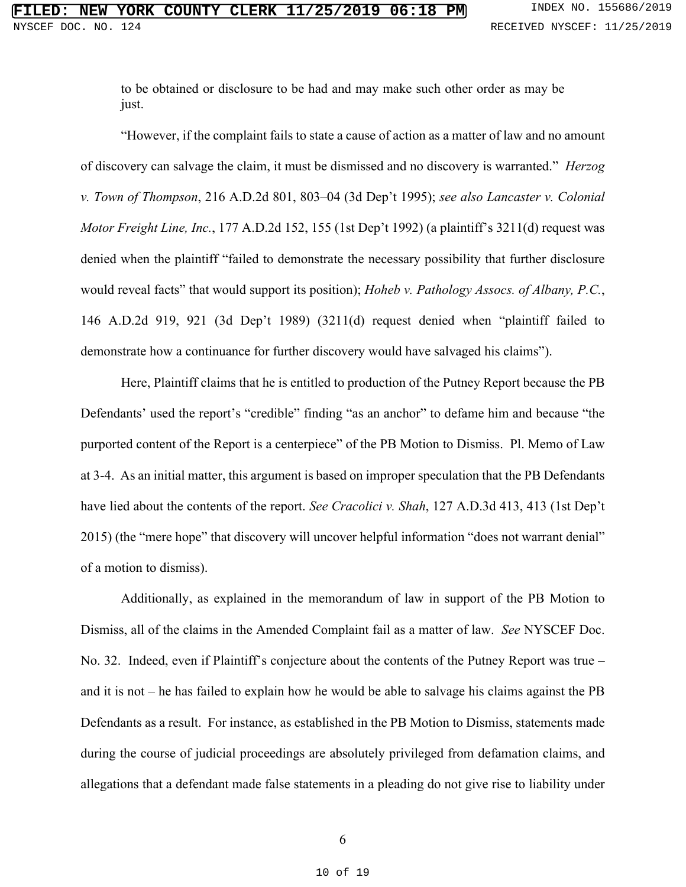to be obtained or disclosure to be had and may make such other order as may be just.

"However, if the complaint fails to state a cause of action as a matter of law and no amount of discovery can salvage the claim, it must be dismissed and no discovery is warranted." *Herzog v. Town of Thompson*, 216 A.D.2d 801, 803–04 (3d Dep't 1995); *see also Lancaster v. Colonial Motor Freight Line, Inc.*, 177 A.D.2d 152, 155 (1st Dep't 1992) (a plaintiff's 3211(d) request was denied when the plaintiff "failed to demonstrate the necessary possibility that further disclosure would reveal facts" that would support its position); *Hoheb v. Pathology Assocs. of Albany, P.C.*, 146 A.D.2d 919, 921 (3d Dep't 1989) (3211(d) request denied when "plaintiff failed to demonstrate how a continuance for further discovery would have salvaged his claims").

Here, Plaintiff claims that he is entitled to production of the Putney Report because the PB Defendants' used the report's "credible" finding "as an anchor" to defame him and because "the purported content of the Report is a centerpiece" of the PB Motion to Dismiss. Pl. Memo of Law at 3-4. As an initial matter, this argument is based on improper speculation that the PB Defendants have lied about the contents of the report. *See Cracolici v. Shah*, 127 A.D.3d 413, 413 (1st Dep't 2015) (the "mere hope" that discovery will uncover helpful information "does not warrant denial" of a motion to dismiss).

Additionally, as explained in the memorandum of law in support of the PB Motion to Dismiss, all of the claims in the Amended Complaint fail as a matter of law. *See* NYSCEF Doc. No. 32. Indeed, even if Plaintiff's conjecture about the contents of the Putney Report was true – and it is not – he has failed to explain how he would be able to salvage his claims against the PB Defendants as a result. For instance, as established in the PB Motion to Dismiss, statements made during the course of judicial proceedings are absolutely privileged from defamation claims, and allegations that a defendant made false statements in a pleading do not give rise to liability under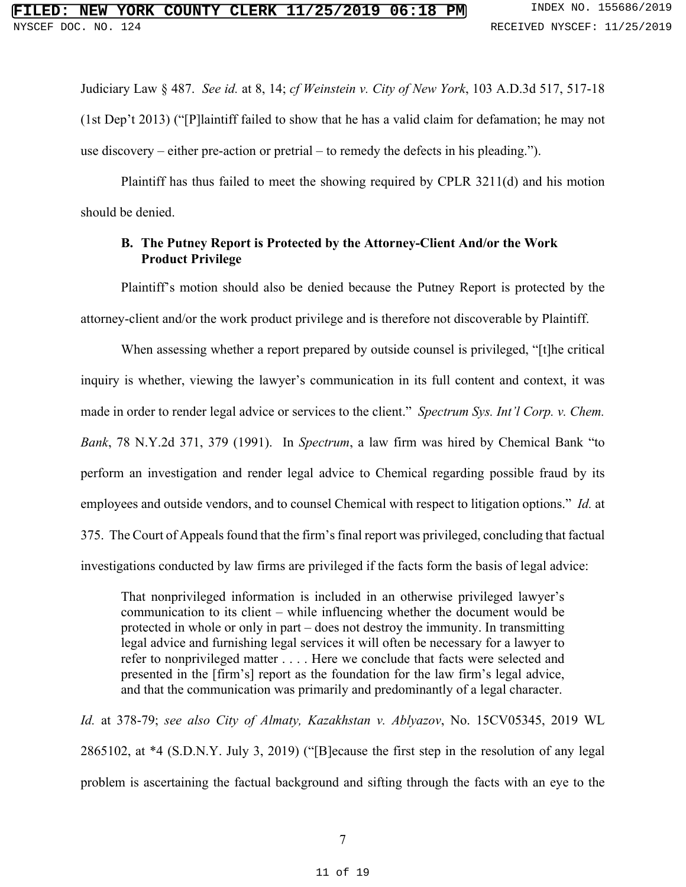Judiciary Law § 487. *See id.* at 8, 14; *cf Weinstein v. City of New York*, 103 A.D.3d 517, 517-18 (1st Dep't 2013) ("[P]laintiff failed to show that he has a valid claim for defamation; he may not use discovery – either pre-action or pretrial – to remedy the defects in his pleading.").

Plaintiff has thus failed to meet the showing required by CPLR 3211(d) and his motion should be denied.

## **B. The Putney Report is Protected by the Attorney-Client And/or the Work Product Privilege**

Plaintiff's motion should also be denied because the Putney Report is protected by the attorney-client and/or the work product privilege and is therefore not discoverable by Plaintiff.

When assessing whether a report prepared by outside counsel is privileged, "[t]he critical inquiry is whether, viewing the lawyer's communication in its full content and context, it was made in order to render legal advice or services to the client." *Spectrum Sys. Int'l Corp. v. Chem. Bank*, 78 N.Y.2d 371, 379 (1991). In *Spectrum*, a law firm was hired by Chemical Bank "to perform an investigation and render legal advice to Chemical regarding possible fraud by its employees and outside vendors, and to counsel Chemical with respect to litigation options." *Id.* at 375. The Court of Appeals found that the firm's final report was privileged, concluding that factual investigations conducted by law firms are privileged if the facts form the basis of legal advice:

That nonprivileged information is included in an otherwise privileged lawyer's communication to its client – while influencing whether the document would be protected in whole or only in part – does not destroy the immunity. In transmitting legal advice and furnishing legal services it will often be necessary for a lawyer to refer to nonprivileged matter . . . . Here we conclude that facts were selected and presented in the [firm's] report as the foundation for the law firm's legal advice, and that the communication was primarily and predominantly of a legal character.

*Id.* at 378-79; *see also City of Almaty, Kazakhstan v. Ablyazov*, No. 15CV05345, 2019 WL 2865102, at \*4 (S.D.N.Y. July 3, 2019) ("[B]ecause the first step in the resolution of any legal problem is ascertaining the factual background and sifting through the facts with an eye to the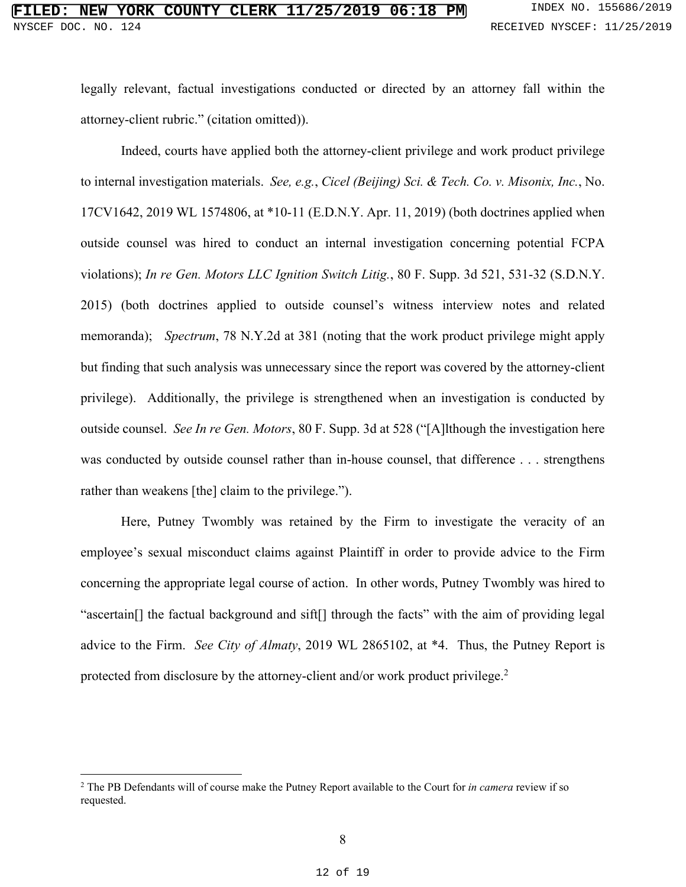legally relevant, factual investigations conducted or directed by an attorney fall within the attorney-client rubric." (citation omitted)).

 Indeed, courts have applied both the attorney-client privilege and work product privilege to internal investigation materials. *See, e.g.*, *Cicel (Beijing) Sci. & Tech. Co. v. Misonix, Inc.*, No. 17CV1642, 2019 WL 1574806, at \*10-11 (E.D.N.Y. Apr. 11, 2019) (both doctrines applied when outside counsel was hired to conduct an internal investigation concerning potential FCPA violations); *In re Gen. Motors LLC Ignition Switch Litig.*, 80 F. Supp. 3d 521, 531-32 (S.D.N.Y. 2015) (both doctrines applied to outside counsel's witness interview notes and related memoranda); *Spectrum*, 78 N.Y.2d at 381 (noting that the work product privilege might apply but finding that such analysis was unnecessary since the report was covered by the attorney‐client privilege). Additionally, the privilege is strengthened when an investigation is conducted by outside counsel. *See In re Gen. Motors*, 80 F. Supp. 3d at 528 ("[A]lthough the investigation here was conducted by outside counsel rather than in-house counsel, that difference . . . strengthens rather than weakens [the] claim to the privilege.").

Here, Putney Twombly was retained by the Firm to investigate the veracity of an employee's sexual misconduct claims against Plaintiff in order to provide advice to the Firm concerning the appropriate legal course of action. In other words, Putney Twombly was hired to "ascertain[] the factual background and sift[] through the facts" with the aim of providing legal advice to the Firm. *See City of Almaty*, 2019 WL 2865102, at \*4. Thus, the Putney Report is protected from disclosure by the attorney-client and/or work product privilege.<sup>2</sup>

<sup>2</sup> The PB Defendants will of course make the Putney Report available to the Court for *in camera* review if so requested.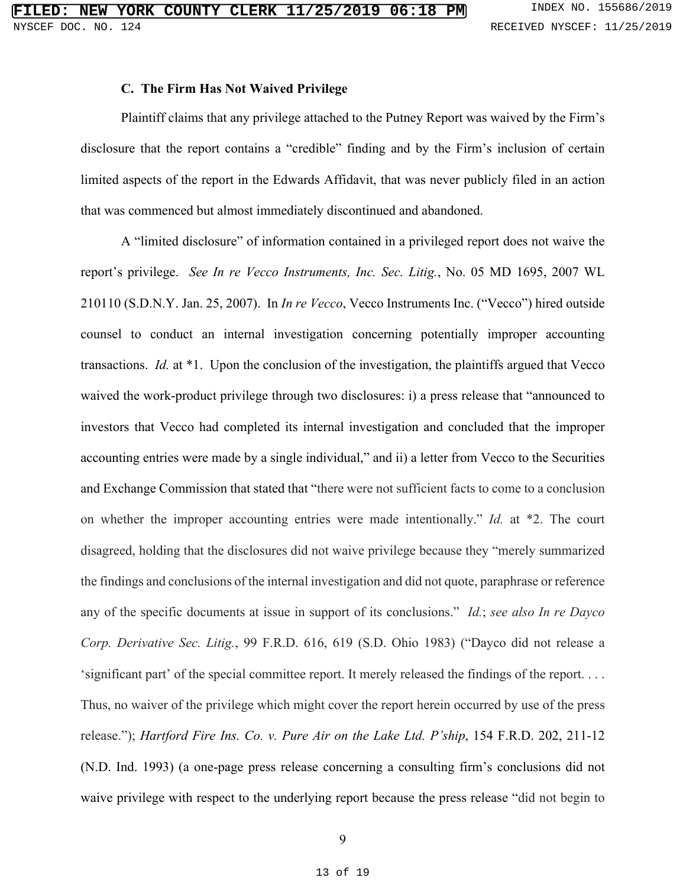#### **C. The Firm Has Not Waived Privilege**

Plaintiff claims that any privilege attached to the Putney Report was waived by the Firm's disclosure that the report contains a "credible" finding and by the Firm's inclusion of certain limited aspects of the report in the Edwards Affidavit, that was never publicly filed in an action that was commenced but almost immediately discontinued and abandoned.

 A "limited disclosure" of information contained in a privileged report does not waive the report's privilege. *See In re Vecco Instruments, Inc. Sec. Litig.*, No. 05 MD 1695, 2007 WL 210110 (S.D.N.Y. Jan. 25, 2007). In *In re Vecco*, Vecco Instruments Inc. ("Vecco") hired outside counsel to conduct an internal investigation concerning potentially improper accounting transactions. *Id.* at \*1. Upon the conclusion of the investigation, the plaintiffs argued that Vecco waived the work-product privilege through two disclosures: i) a press release that "announced to investors that Vecco had completed its internal investigation and concluded that the improper accounting entries were made by a single individual," and ii) a letter from Vecco to the Securities and Exchange Commission that stated that "there were not sufficient facts to come to a conclusion on whether the improper accounting entries were made intentionally." *Id.* at \*2. The court disagreed, holding that the disclosures did not waive privilege because they "merely summarized the findings and conclusions of the internal investigation and did not quote, paraphrase or reference any of the specific documents at issue in support of its conclusions." *Id.*; *see also In re Dayco Corp. Derivative Sec. Litig.*, 99 F.R.D. 616, 619 (S.D. Ohio 1983) ("Dayco did not release a 'significant part' of the special committee report. It merely released the findings of the report. . . . Thus, no waiver of the privilege which might cover the report herein occurred by use of the press release."); *Hartford Fire Ins. Co. v. Pure Air on the Lake Ltd. P'ship*, 154 F.R.D. 202, 211-12 (N.D. Ind. 1993) (a one-page press release concerning a consulting firm's conclusions did not waive privilege with respect to the underlying report because the press release "did not begin to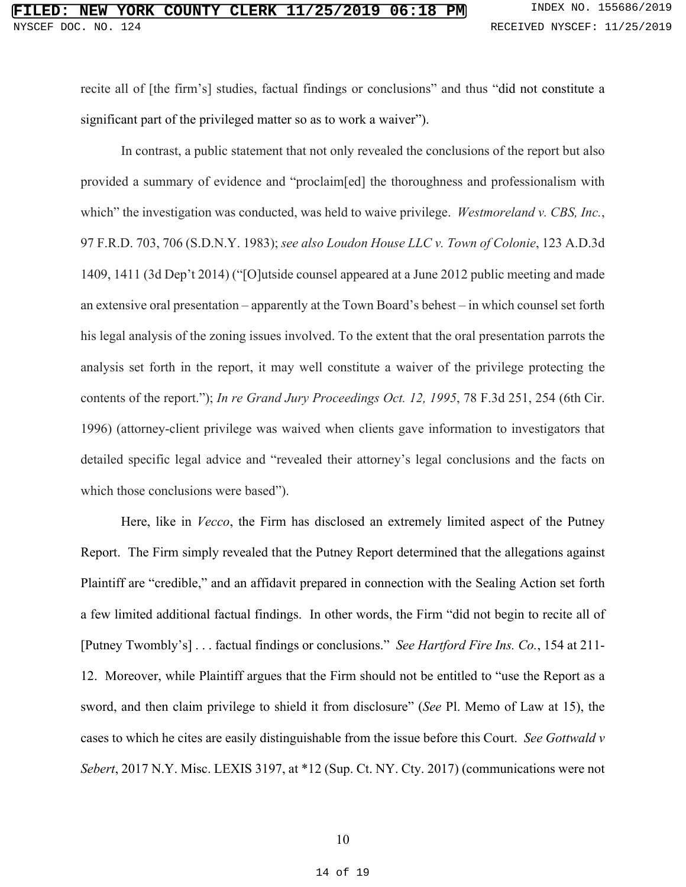recite all of [the firm's] studies, factual findings or conclusions" and thus "did not constitute a significant part of the privileged matter so as to work a waiver").

 In contrast, a public statement that not only revealed the conclusions of the report but also provided a summary of evidence and "proclaim[ed] the thoroughness and professionalism with which" the investigation was conducted, was held to waive privilege. *Westmoreland v. CBS, Inc.*, 97 F.R.D. 703, 706 (S.D.N.Y. 1983); *see also Loudon House LLC v. Town of Colonie*, 123 A.D.3d 1409, 1411 (3d Dep't 2014) ("[O]utside counsel appeared at a June 2012 public meeting and made an extensive oral presentation – apparently at the Town Board's behest – in which counsel set forth his legal analysis of the zoning issues involved. To the extent that the oral presentation parrots the analysis set forth in the report, it may well constitute a waiver of the privilege protecting the contents of the report."); *In re Grand Jury Proceedings Oct. 12, 1995*, 78 F.3d 251, 254 (6th Cir. 1996) (attorney-client privilege was waived when clients gave information to investigators that detailed specific legal advice and "revealed their attorney's legal conclusions and the facts on which those conclusions were based").

Here, like in *Vecco*, the Firm has disclosed an extremely limited aspect of the Putney Report. The Firm simply revealed that the Putney Report determined that the allegations against Plaintiff are "credible," and an affidavit prepared in connection with the Sealing Action set forth a few limited additional factual findings. In other words, the Firm "did not begin to recite all of [Putney Twombly's] . . . factual findings or conclusions." *See Hartford Fire Ins. Co.*, 154 at 211- 12. Moreover, while Plaintiff argues that the Firm should not be entitled to "use the Report as a sword, and then claim privilege to shield it from disclosure" (*See* Pl. Memo of Law at 15), the cases to which he cites are easily distinguishable from the issue before this Court. *See Gottwald v Sebert*, 2017 N.Y. Misc. LEXIS 3197, at \*12 (Sup. Ct. NY. Cty. 2017) (communications were not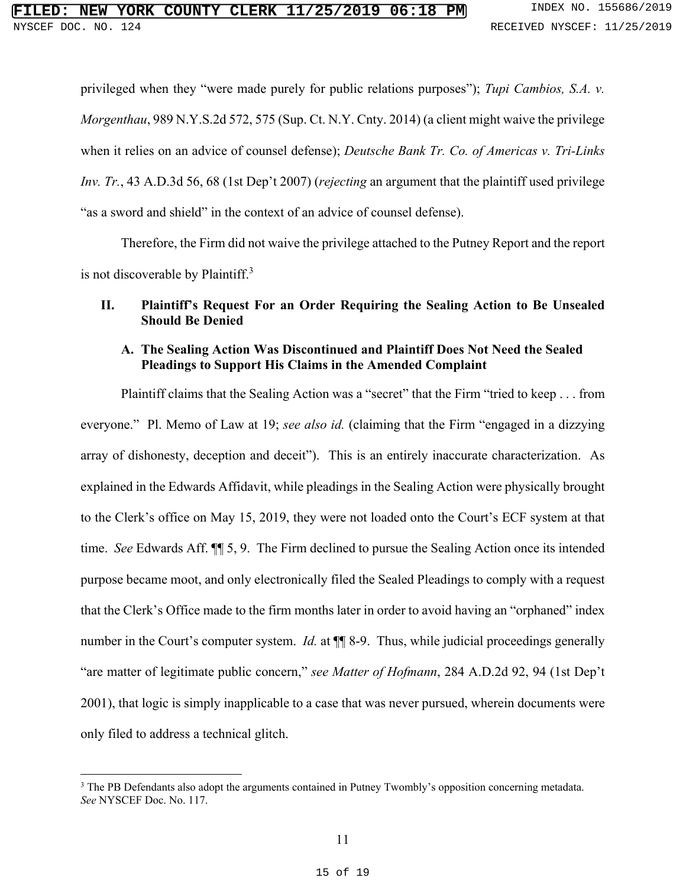privileged when they "were made purely for public relations purposes"); *Tupi Cambios, S.A. v. Morgenthau*, 989 N.Y.S.2d 572, 575 (Sup. Ct. N.Y. Cnty. 2014) (a client might waive the privilege when it relies on an advice of counsel defense); *Deutsche Bank Tr. Co. of Americas v. Tri-Links Inv. Tr.*, 43 A.D.3d 56, 68 (1st Dep't 2007) (*rejecting* an argument that the plaintiff used privilege "as a sword and shield" in the context of an advice of counsel defense).

Therefore, the Firm did not waive the privilege attached to the Putney Report and the report is not discoverable by Plaintiff. $3$ 

## **II. Plaintiff's Request For an Order Requiring the Sealing Action to Be Unsealed Should Be Denied**

## **A. The Sealing Action Was Discontinued and Plaintiff Does Not Need the Sealed Pleadings to Support His Claims in the Amended Complaint**

Plaintiff claims that the Sealing Action was a "secret" that the Firm "tried to keep . . . from everyone." Pl. Memo of Law at 19; *see also id.* (claiming that the Firm "engaged in a dizzying array of dishonesty, deception and deceit"). This is an entirely inaccurate characterization. As explained in the Edwards Affidavit, while pleadings in the Sealing Action were physically brought to the Clerk's office on May 15, 2019, they were not loaded onto the Court's ECF system at that time. *See* Edwards Aff. ¶¶ 5, 9. The Firm declined to pursue the Sealing Action once its intended purpose became moot, and only electronically filed the Sealed Pleadings to comply with a request that the Clerk's Office made to the firm months later in order to avoid having an "orphaned" index number in the Court's computer system. *Id.* at  $\P$  8-9. Thus, while judicial proceedings generally "are matter of legitimate public concern," *see Matter of Hofmann*, 284 A.D.2d 92, 94 (1st Dep't 2001), that logic is simply inapplicable to a case that was never pursued, wherein documents were only filed to address a technical glitch.

<sup>&</sup>lt;sup>3</sup> The PB Defendants also adopt the arguments contained in Putney Twombly's opposition concerning metadata. *See* NYSCEF Doc. No. 117.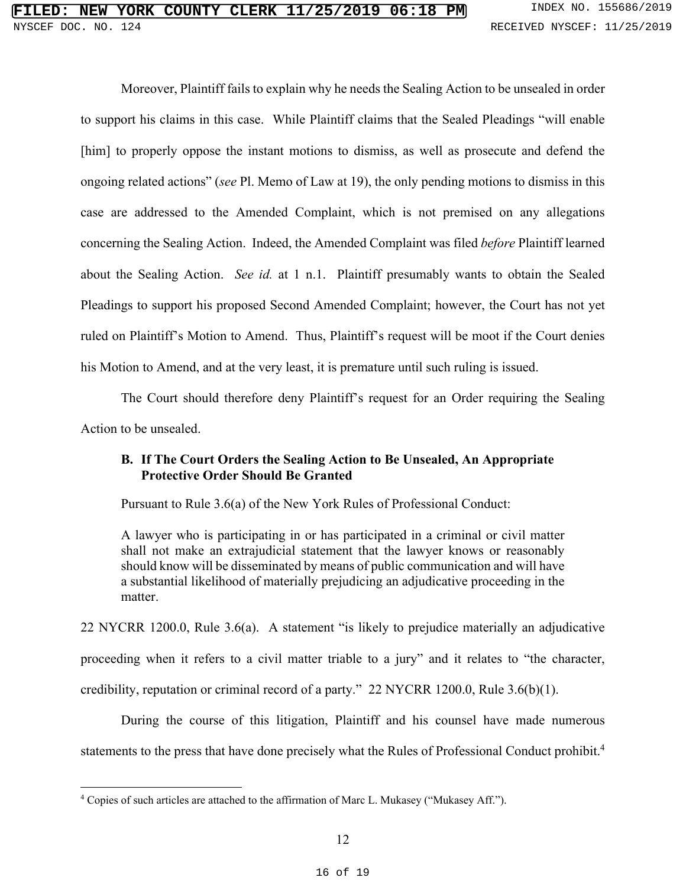Moreover, Plaintiff fails to explain why he needs the Sealing Action to be unsealed in order to support his claims in this case. While Plaintiff claims that the Sealed Pleadings "will enable [him] to properly oppose the instant motions to dismiss, as well as prosecute and defend the ongoing related actions" (*see* Pl. Memo of Law at 19), the only pending motions to dismiss in this case are addressed to the Amended Complaint, which is not premised on any allegations concerning the Sealing Action. Indeed, the Amended Complaint was filed *before* Plaintiff learned about the Sealing Action. *See id.* at 1 n.1. Plaintiff presumably wants to obtain the Sealed Pleadings to support his proposed Second Amended Complaint; however, the Court has not yet ruled on Plaintiff's Motion to Amend. Thus, Plaintiff's request will be moot if the Court denies his Motion to Amend, and at the very least, it is premature until such ruling is issued.

The Court should therefore deny Plaintiff's request for an Order requiring the Sealing Action to be unsealed.

## **B. If The Court Orders the Sealing Action to Be Unsealed, An Appropriate Protective Order Should Be Granted**

Pursuant to Rule 3.6(a) of the New York Rules of Professional Conduct:

A lawyer who is participating in or has participated in a criminal or civil matter shall not make an extrajudicial statement that the lawyer knows or reasonably should know will be disseminated by means of public communication and will have a substantial likelihood of materially prejudicing an adjudicative proceeding in the matter.

22 NYCRR 1200.0, Rule 3.6(a). A statement "is likely to prejudice materially an adjudicative proceeding when it refers to a civil matter triable to a jury" and it relates to "the character, credibility, reputation or criminal record of a party." 22 NYCRR 1200.0, Rule 3.6(b)(1).

During the course of this litigation, Plaintiff and his counsel have made numerous statements to the press that have done precisely what the Rules of Professional Conduct prohibit.<sup>4</sup>

<sup>4</sup> Copies of such articles are attached to the affirmation of Marc L. Mukasey ("Mukasey Aff.").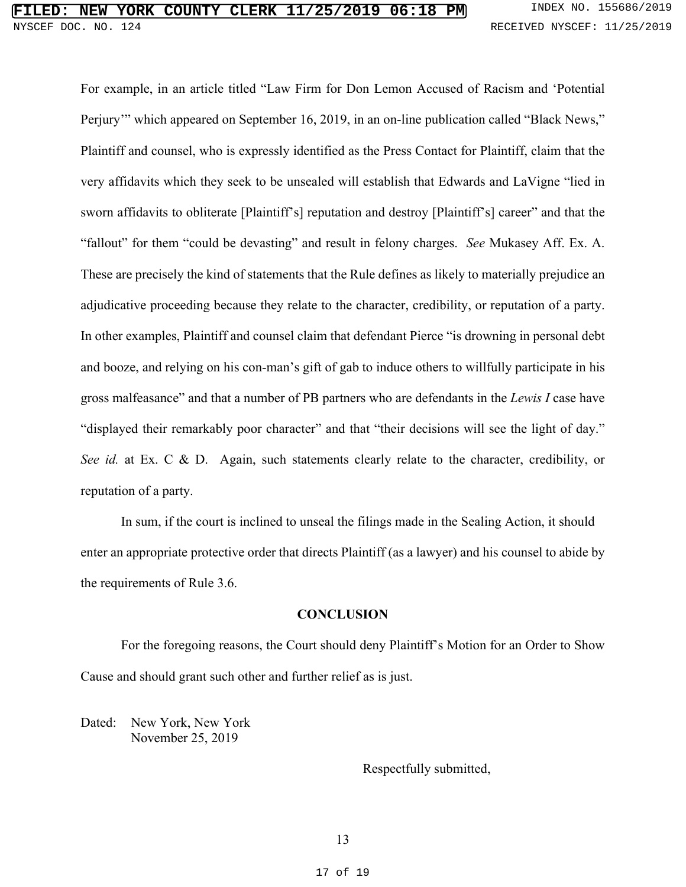For example, in an article titled "Law Firm for Don Lemon Accused of Racism and 'Potential Perjury" which appeared on September 16, 2019, in an on-line publication called "Black News," Plaintiff and counsel, who is expressly identified as the Press Contact for Plaintiff, claim that the very affidavits which they seek to be unsealed will establish that Edwards and LaVigne "lied in sworn affidavits to obliterate [Plaintiff's] reputation and destroy [Plaintiff's] career" and that the "fallout" for them "could be devasting" and result in felony charges. *See* Mukasey Aff. Ex. A. These are precisely the kind of statements that the Rule defines as likely to materially prejudice an adjudicative proceeding because they relate to the character, credibility, or reputation of a party. In other examples, Plaintiff and counsel claim that defendant Pierce "is drowning in personal debt and booze, and relying on his con-man's gift of gab to induce others to willfully participate in his gross malfeasance" and that a number of PB partners who are defendants in the *Lewis I* case have "displayed their remarkably poor character" and that "their decisions will see the light of day." *See id.* at Ex. C & D. Again, such statements clearly relate to the character, credibility, or reputation of a party.

 In sum, if the court is inclined to unseal the filings made in the Sealing Action, it should enter an appropriate protective order that directs Plaintiff (as a lawyer) and his counsel to abide by the requirements of Rule 3.6.

#### **CONCLUSION**

For the foregoing reasons, the Court should deny Plaintiff's Motion for an Order to Show Cause and should grant such other and further relief as is just.

Dated: New York, New York November 25, 2019

#### Respectfully submitted,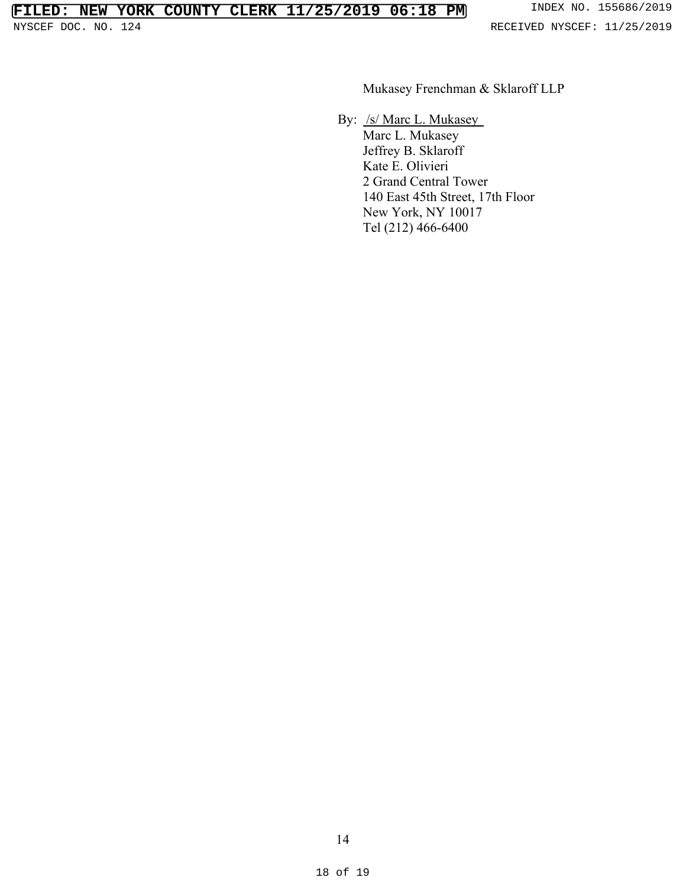Mukasey Frenchman & Sklaroff LLP

By: /s/ Marc L. Mukasey

Marc L. Mukasey Jeffrey B. Sklaroff Kate E. Olivieri 2 Grand Central Tower 140 East 45th Street, 17th Floor New York, NY 10017 Tel (212) 466-6400